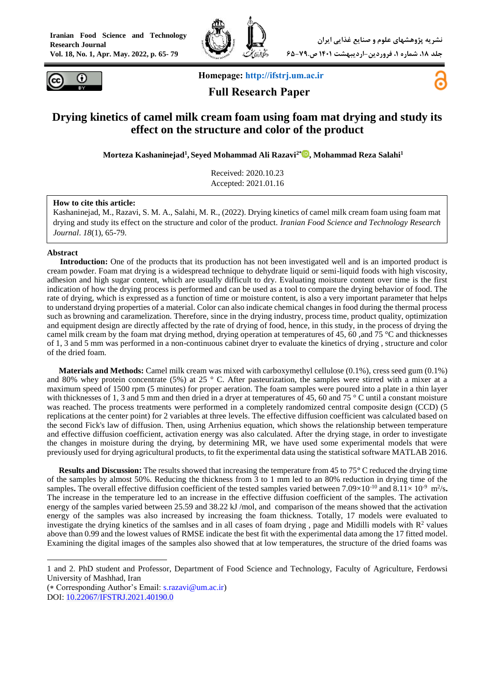



**Homepage: [http://ifstrj.um.ac.ir](http://ifstrj.um.ac.ir/)**

 **Full Research Paper**



# **Drying kinetics of camel milk cream foam using foam mat drying and study its effect on the structure and color of the product**

**Morteza Kashaninejad<sup>1</sup> , Seyed Mohammad Ali Razavi2\* , Mohammad Reza Salahi<sup>1</sup>**

Received: 2020.10.23 Accepted: 2021.01.16

#### **How to cite this article:**

Kashaninejad, M., Razavi, S. M. A., Salahi, M. R., (2022). Drying kinetics of camel milk cream foam using foam mat drying and study its effect on the structure and color of the product. *Iranian Food Science and Technology Research Journal*. *18*(1), 65-79.

#### **Abstract**

**<sup>1</sup>Introduction:** One of the products that its production has not been investigated well and is an imported product is cream powder. Foam mat drying is a widespread technique to dehydrate liquid or semi-liquid foods with high viscosity, adhesion and high sugar content, which are usually difficult to dry. Evaluating moisture content over time is the first indication of how the drying process is performed and can be used as a tool to compare the drying behavior of food. The rate of drying, which is expressed as a function of time or moisture content, is also a very important parameter that helps to understand drying properties of a material. Color can also indicate chemical changes in food during the thermal process such as browning and caramelization. Therefore, since in the drying industry, process time, product quality, optimization and equipment design are directly affected by the rate of drying of food, hence, in this study, in the process of drying the camel milk cream by the foam mat drying method, drying operation at temperatures of 45, 60 ,and 75 °C and thicknesses of 1, 3 and 5 mm was performed in a non-continuous cabinet dryer to evaluate the kinetics of drying , structure and color of the dried foam.

**Materials and Methods:** Camel milk cream was mixed with carboxymethyl cellulose (0.1%), cress seed gum (0.1%) and 80% whey protein concentrate (5%) at 25  $\degree$  C. After pasteurization, the samples were stirred with a mixer at a maximum speed of 1500 rpm (5 minutes) for proper aeration. The foam samples were poured into a plate in a thin layer with thicknesses of 1, 3 and 5 mm and then dried in a dryer at temperatures of 45, 60 and 75 ° C until a constant moisture was reached. The process treatments were performed in a completely randomized central composite design (CCD) (5 replications at the center point) for 2 variables at three levels. The effective diffusion coefficient was calculated based on the second Fick's law of diffusion. Then, using Arrhenius equation, which shows the relationship between temperature and effective diffusion coefficient, activation energy was also calculated. After the drying stage, in order to investigate the changes in moisture during the drying, by determining MR, we have used some experimental models that were previously used for drying agricultural products, to fit the experimental data using the statistical software MATLAB 2016.

**Results and Discussion:** The results showed that increasing the temperature from 45 to 75**°** C reduced the drying time of the samples by almost 50%. Reducing the thickness from 3 to 1 mm led to an 80% reduction in drying time of the samples. The overall effective diffusion coefficient of the tested samples varied between  $7.09 \times 10^{-10}$  and  $8.11 \times 10^{-9}$  m<sup>2</sup>/s. The increase in the temperature led to an increase in the effective diffusion coefficient of the samples. The activation energy of the samples varied between 25.59 and 38.22 kJ/mol, and comparison of the means showed that the activation energy of the samples was also increased by increasing the foam thickness. Totally, 17 models were evaluated to investigate the drying kinetics of the samlses and in all cases of foam drying, page and Midilli models with  $R<sup>2</sup>$  values above than 0.99 and the lowest values of RMSE indicate the best fit with the experimental data among the 17 fitted model. Examining the digital images of the samples also showed that at low temperatures, the structure of the dried foams was

(\* Corresponding Author's Email: [s.razavi@um.ac.ir\)](mailto:s.razavi@um.ac.ir)

<sup>1</sup> and 2. PhD student and Professor, Department of Food Science and Technology, Faculty of Agriculture, Ferdowsi University of Mashhad, Iran

DOI: [10.22067/IFSTRJ.2021.40190.0](https://dx.doi.org/10.22067/ifstrj.2021.40190.0)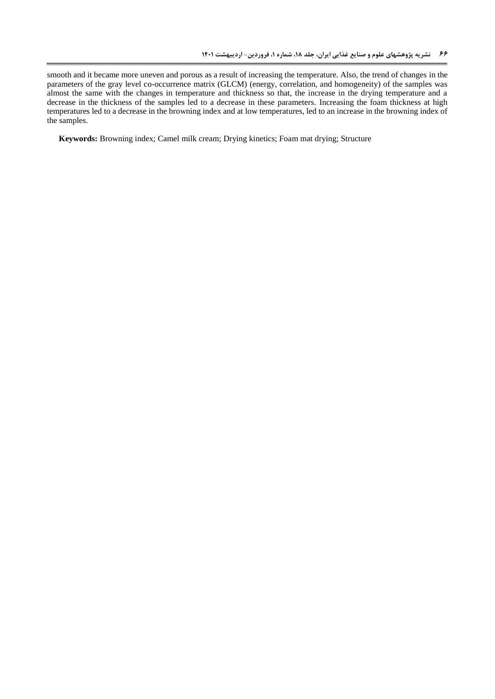smooth and it became more uneven and porous as a result of increasing the temperature. Also, the trend of changes in the parameters of the gray level co-occurrence matrix (GLCM) (energy, correlation, and homogeneity) of the samples was almost the same with the changes in temperature and thickness so that, the increase in the drying temperature and a decrease in the thickness of the samples led to a decrease in these parameters. Increasing the foam thickness at high temperatures led to a decrease in the browning index and at low temperatures, led to an increase in the browning index of the samples.

**Keywords:** Browning index; Camel milk cream; Drying kinetics; Foam mat drying; Structure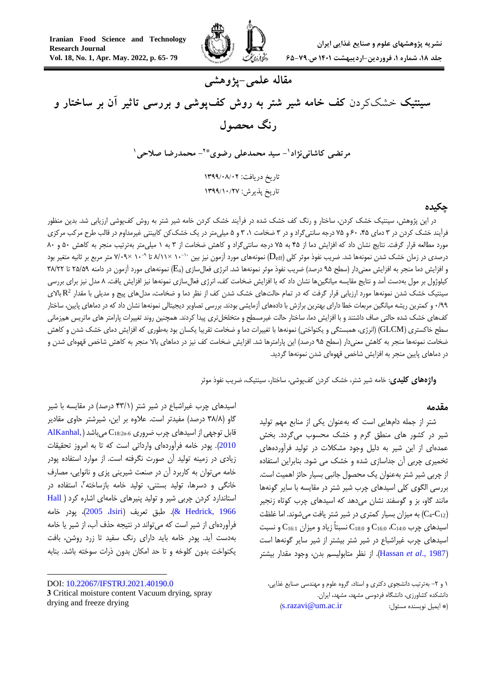

# **مقاله علمی-پژوهشی**

**سینتیک** خشککردن **کف خامه شیر شتر به روش کفپوشی و بررسی تاثیر آن بر ساختار و رنگ محصول**

> **- سید محمدعلی رضوی <sup>1</sup> مرتضی کاشانینژاد - محمدرضا صالحی \*2 1** تاریخ دریافت: ۱۳۹۹/۰۸/۰۲

تاریخ پذیرش: 9911/92/02

#### **چکیده**

در این پژوهش، سینتیک خشک کردن، ساختار و رنگ کف خشک شده در فرآیند خشک کردن خامه شیر شتر به روش کفپوشی ارزیابی شد. بدین منظور فرآیند خشک کردن در ۳ دمای ۴۵، ۶۰ و ۷۵ درجه سانتیگراد و در ۳ ضخامت ۰۱ ۳ و ۵ میلیمتر در یک خشککن کابینتی غیرمداوم در قالب طرح مرکب مرکزی مورد مطالعه قرار گرفت. نتایج نشان داد که افزایش دما از 54 به 54 درجه سانتیگراد و کاهش ضخامت از 3 به 1 میلیمتر بهترتیب منجر به کاهش 46 و 06 درصدی در زمان خشک شدن نمونهها شد. ضریب نفوذ موثر کلی (D<sub>eff</sub>) نمونههای مورد آزمون نیز بین ۱۰<sup>-۱۰ ×</sup>۸/۱۱ تا ۲۰۰\*۷/۰۹ متر مربع بر ثانیه متغیر بود و افزایش دما منجر به افزایش معنیدار (سطح ۹۵ درصد) ضریب نفوذ موثر نمونهها شد. انرژی فعالسازی (Ea) نمونههای مورد آزمون در دامنه ۲۵/۵۹ تا ۳۸/۲۲ کیلوژول بر مول بهدست آمد و نتایج مقایسه میانگینها نشان داد که با افزایش ضخامت کف، انرژی فعالسازی نمونهها نیز افزایش یافت. 0 مدل نیز برای بررسی سینتیک خشک شدن نمونهها مورد ارزیابی قرار گرفت که در تمام حالتهای خشک شدن کف از نظر دما و ضخامت، مدلهای پیج و مدیلی با مقدار  $\rm R^2$  بالای 6/99 و کمترین ریشه میانگین مربعات خطا دارای بهترین برازش با دادههای آزمایشی بودند. بررسی تصاویر دیجیتالی نمونهها نشان داد که در دماهای پایین، ساختار کفهای خشک شده حالتی صاف داشتند و با افزایش دما، ساختار حالت غیرمسطح و متخلخلتری پیدا کردند. همچنین روند تغییرات پارامتر های ماتریس همزمانی سطح خاکستری (GLCM) (انرژی، همبستگی و یکنواختی) نمونهها با تغییرات دما و ضخامت تقریبا یکسان بود بهطوری که افزایش دمای خشک شدن و کاهش ضخامت نمونهها منجر به کاهش معنیدار (سطح ۹۵ درصد) این پارامترها شد. افزایش ضخامت کف نیز در دماهای بالا منجر به کاهش شاخص قهوهای شدن و در دماهای پایین منجر به افزایش شاخص قهوهای شدن نمونهها گردید.

**واژههای کلیدی**: خامه شیر شتر، خشک کردن کفپوشی، ساختار، سینتیک، ضریب نفوذ موثر

#### **مقدمه**

شتر از جمله دامهایی است که بهعنوان یکی از منابع مهم تولید شیر در کشور های منطق گرم و خشک محسوب میگردد. بخش عمدهای از این شیر به دلیل وجود مشکالت در تولید فرآوردههای تخمیری چربی آن جداسازی شده و خشک می شود. بنابراین استفاده از چربی شیر شتر بهعنوان یک محصول جانبی بسیار حائز اهمیت است. بررسی الگوی کلی اسیدهای چرب شیر شتر در مقایسه با سایر گونهها مانند گاو، بز و گوسفند نشان میدهد که اسیدهای چرب کوتاه زنجیر به میزان بسیار کمتری در شیر شتر یافت می شوند. اما غلظت (C4-C12) اسیدهای چرب  $\rm C_{16:0}$ ،  $\rm C_{16:0}$  و  $\rm C_{18:0}$  نسبتاً زیاد و میزان  $\rm C_{16:1}$  و نسبت اسیدهای چرب غیراشباع در شیر شتر بیشتر از شیر سایر گونهها است )1987 .,*al et* [Hassan](#page-13-0)). از نظر متابولیسم بدن، وجود مقدار بیشتر

اسیدهای چرب غیراشباع در شیر شتر (۴۳/۱ درصد) در مقایسه با شیر گاو (۳۸/۸ درصد) مفیدتر است. علاوه بر این، شیرشتر حاوی مقادیر  $\overline{\text{AlKanhal}}$ , قابل توجهی از اسیدهای چرب ضروری  $\text{C}_{18:2\text{n-}6}$  میباشد [2010](#page-12-0)(. پودر خامه فرآوردهای وارداتی است که تا به امروز تحقیقات زیادی در زمینه تولید آن صورت نگرفته است. از موارد استفاده پودر خامه میتوان به کاربرد آن در صنعت شیرینی پزی و نانوایی، مصارف خانگی و دسرها، تولید بستنی، تولید خامه بازساخته"، استفاده در استاندارد کردن چربی شیر و تولید پنیرهای خامهای اشاره کرد [\)](#page-13-1) [Hall](#page-13-1) [1966 ,Hedrick](#page-13-1))& . طبق تعریف )Isiri، 2005)، پودر خامه فرآوردهای از شیر است که میتواند در نتیجه حذف آب، از شیر یا خامه بهدست آید. پودر خامه باید دارای رنگ سفید تا زرد روشن، بافت یکنواخت بدون کلوخه و تا حد امکان بدون ذرات سوخته باشد. بنابه

**.** 

DOI: [10.22067/IFSTRJ.2021.40190.0](https://dx.doi.org/10.22067/ifstrj.2021.40190.0) **3** Critical moisture content Vacuum drying, spray drying and freeze drying

<sup>1</sup> و -5 بهترتیب دانشجوی دکتری و استاد، گروه علوم و مهندسی صنایع غذایی، دانشکده کشاورزی، دانشگاه فردوسی مشهد، مشهد، ایران. )[s.razavi@um.ac.ir](mailto:s.razavi@um.ac.ir) :مسئول نویسنده ایمیل)\*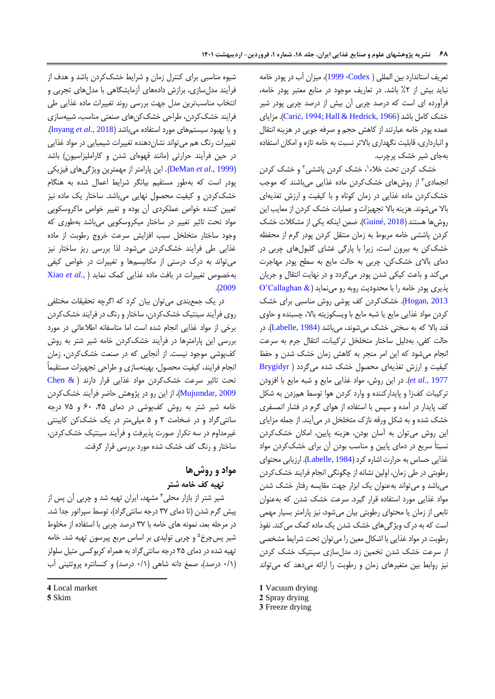تعریف استاندارد بین المللی ) [Codex، 1999](#page-12-1))، میزان آب در پودر خامه نباید بیش از %5 باشد. در تعاریف موجود در منابع معتبر پودر خامه، فرآورده ای است که درصد چربی آن بیش از درصد چربی پودر شیر خشک کامل باشد [\)](#page-12-2)[1966 ,Hedrick & Hall](#page-13-1)[;](#page-12-2)[1994 ,Carić](#page-12-2)). مزایای عمده پودر خامه عبارتند از کاهش حجم و صرفه جویی در هزینه انتقال و انبارداری، قابلیت نگهداری باالتر نسبت به خامه تازه و امکان استفاده بهجای شیر خشک پرچرب.

خشک کردن تحت خلاء'، خشک کردن پاششی<sup>۲</sup> و خشک کردن انجمادی ۳ از روشهای خشک کردن ماده غذایی میباشند که موجب خشککردن ماده غذایی در زمان کوتاه و با کیفیت و ارزش تغذیهای باال میشوند. هزینه باال تجهیزات و عملیات خشک کردن از معایب این روشها هستند)[2018 ,Guiné](#page-13-2)). ضمن اینکه یکی از مشکالت خشک کردن پاششی خامه مربوط به زمان منتقل کردن پودر گرم از محفظه خشککن به بیرون است، زیرا با پارگی غشای گلبولهای چربی در دمای باالی خشککن، چربی به حالت مایع به سطح پودر مهاجرت میکند و باعث کیکی شدن پودر میگردد و در نهایت انتقال و جریان پذیری پودر خامه را با محدودیت روبه رو مینماید) [& Callaghan'O](#page-13-3) [2013 ,Hogan](#page-13-3)). خشککردن کف پوشی روش مناسبی برای خشک کردن مواد غذایی مایع یا شبه مایع با ویسکوزیته باال، چسبنده و حاوی قند بالا که به سختی خشک میشوند، میباشد (Labelle, 1984). در حالت کفی، بهدلیل ساختار متخلخل ترکیبات، انتقال جرم به سرعت انجام میشود که این امر منجر به کاهش زمان خشک شدن و حفظ کیفیت و ارزش تغذیهای محصول خشک شده میگردد [\)](#page-12-3) [Brygidyr](#page-12-3) [1977 .,](#page-12-3)*al et*). در این روش، مواد غذایی مایع و شبه مایع با افزودن ترکیبات کفزا و پایدارکننده و وارد کردن هوا توسط همزدن به شکل کف پایدار در آمده و سپس با استفاده از هوای گرم در فشار اتمسفری خشک شده و به شکل ورقه نازک متخلخل در میآیند. از جمله مزایای این روش میتوان به آسان بودن، هزینه پایین، امکان خشککردن نسبتاَ سریع در دمای پایین و مناسب بودن آن برای خشککردن مواد غذایی حساس به حرارت اشاره کرد )[1984 ,Labelle](#page-13-4)). ارزیابی محتوای رطوبتی در طی زمان، اولین نشانه از چگونگی انجام فرایند خشککردن میباشد و میتواند بهعنوان یک ابزار جهت مقایسه رفتار خشک شدن مواد غذایی مورد استفاده قرار گیرد. سرعت خشک شدن که بهعنوان تابعی از زمان یا محتوای رطوبتی بیان میشود، نیز پارامتر بسیار مهمی است که به درک ویژگیهای خشک شدن یک ماده کمک میکند. نفوذ رطوبت در مواد غذایی با اشکال معین را میتوان تحت شرایط مشخصی از سرعت خشک شدن تخمین زد. مدلسازی سینتیک خشک کردن نیز روابط بین متغیرهای زمان و رطوبت را ارائه میدهد که میتواند

**1** Vacuum drying **2** Spray drying

**3** Freeze drying

شیوه مناسبی برای کنترل زمان و شرایط خشککردن باشد و هدف از فرآیند مدلسازی، برازش دادههای آزمایشگاهی با مدلهای تجربی و انتخاب مناسبترین مدل جهت بررسی روند تغییرات ماده غذایی طی فرایند خشککردن، طراحی خشککنهای صنعتی مناسب، شبیهسازی و یا بهبود سیستمهای مورد استفاده میباشد )2018 .,*al et* [Inyang](#page-13-5)). تغییرات رنگ هم میتواند نشاندهنده تغییرات شیمیایی در مواد غذایی در حین فرآیند حرارتی (مانند قهوهای شدن و کاراملیزاسیون) باشد )1999 .,*al et* [DeMan](#page-12-4)). این پارامتر از مهمترین ویژگیهای فیزیکی پودر است که بهطور مستقیم بیانگر شرایط اعمال شده به هنگام خشککردن و کیفیت محصول نهایی میباشد. ساختار یک ماده نیز تعیین کننده خواص عملکردی آن بوده و تغییر خواص ماکروسکوپی مواد تحت تاثیر تغییر در ساختار میکروسکوپی میباشد بهطوری که وجود ساختار متخلخل سبب افزایش سرعت خروج رطوبت از ماده غذایی طی فرآیند خشککردن میشود. لذا بررسی ریز ساختار نیز میتواند به درک درستی از مکانیسمها و تغییرات در خواص کیفی بهخصوص تغییرات در بافت ماده غذایی کمک نماید [\)](#page-14-0) *.*,*al et* [Xiao](#page-14-0) .)[2009](#page-14-0)

در یک جمعبندی میتوان بیان کرد که اگرچه تحقیقات مختلفی روی فرآیند سینتیک خشککردن، ساختار و رنگ در فرایند خشککردن برخی از مواد غذایی انجام شده است اما متاسفانه اطالعاتی در مورد بررسی این پارامترها در فرآیند خشککردن خامه شیر شتر به روش کفپوشی موجود نیست. از آنجایی که در صنعت خشککردن، زمان انجام فرایند، کیفیت محصول، بهینهسازی و طراحی تجهیزات مستقیماً تحت تاثیر سرعت خشککردن مواد غذایی قرار دارند [\)](#page-12-5) [& Chen](#page-12-5) [2009 ,Mujumdar](#page-12-5))، از این رو در پژوهش حاضر فرآیند خشککردن خامه شیر شتر به روش کفپوشی در دمای ۴۵، ۶۰ و ۷۵ درجه سانتیگراد و در ضخامت 3 و 4 میلیمتر در یک خشککن کابینتی غیرمداوم در سه تکرار صورت پذیرفت و فرآیند سینتیک خشککردن، ساختار و رنگ کف خشک شده مورد بررسی قرار گرفت.

# **مواد و روشها**

**تهیه کف خامه شتر**

شیر شتر از بازار محلی<sup>۴</sup> مشهد، ایران تهیه شد و چربی آن پس از پیش گرم شدن )تا دمای 35 درجه سانتیگراد(، توسط سپراتور جدا شد. در مرحله بعد، نمونه های خامه با 35 درصد چربی با استفاده از مخلوط شیر پسچرخ<sup>۵</sup> و چربی تولیدی بر اساس مربع پیرسون تهیه شد. خامه تهیه شده در دمای 54 درجه سانتیگراد به همراه کربوکسی متیل سلولز )6/1 درصد(، صمغ دانه شاهی )6/1 درصد( و کنسانتره پروتئینی آب

**4** Local market **5** Skim

**.**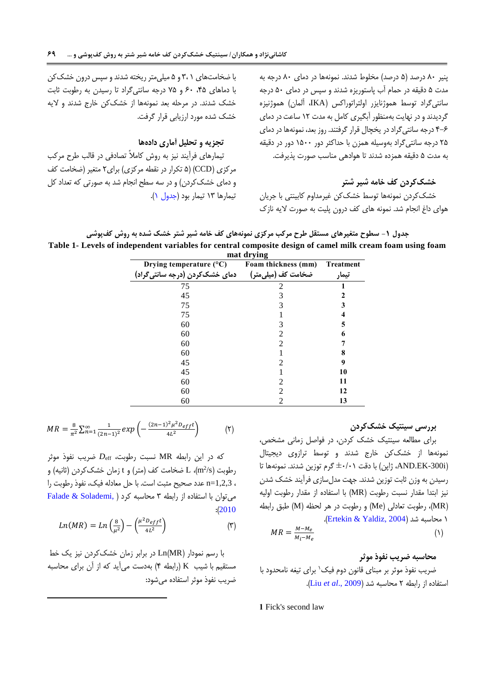پنیر ۸۰ درصد (۵ درصد) مخلوط شدند. نمونهها در دمای ۸۰ درجه به مدت 4 دقیقه در حمام آب پاستوریزه شدند و سپس در دمای 46 درجه سانتیگراد توسط هموژنایزر اولتراتوراکس (IKA، آلمان) هموژنیزه گردیدند و در نهایت بهمنظور آبگیری کامل به مدت ١٢ ساعت در دمای 5-0 درجه سانتیگراد در یخچال قرار گرفتند. روز بعد، نمونهها در دمای 54 درجه سانتیگراد بهوسیله همزن با حداکثر دور 1466 دور در دقیقه به مدت 4 دقیقه همزده شدند تا هوادهی مناسب صورت پذیرفت.

#### <span id="page-4-0"></span>**خشککردن کف خامه شیر شتر**

خشککردن نمونهها توسط خشککن غیرمداوم کابینتی با جریان هوای داغ انجام شد. نمونه های کف درون پلیت به صورت الیه نازک

با ضخامتهای 1 3، و 4 میلیمتر ریخته شدندو سپس درون خشککن با دماهای ،54 06 و 54 درجه سانتیگراد تا رسیدن به رطوبت ثابت خشک شدند. در مرحله بعد نمونهها از خشککن خارج شدند و الیه خشک شده مورد ارزیابی قرار گرفت.

#### **تجزیه و تحلیل آماری دادهها**

تیمارهای فرآیند نیز به روش کامالً تصادفی در قالب طرح مرکب مرکزی )CCD( )4 تکرار در نقطه مرکزی( برای5 متغیر )ضخامت کف و دمای خشککردن) و در سه سطح انجام شد به صورتی که تعداد کل تیمارها 13 تیمار بود [\)جدول](#page-4-0) 1(.

**جدول -1 سطوح متغیرهای مستقل طرح مرکب مرکزی نمونههای کف خامه شیر شتر خشک شده به روش کفپوشی Table 1- Levels of independent variables for central composite design of camel milk cream foam using foam** 

| mat drying                       |                                 |                  |  |  |  |  |
|----------------------------------|---------------------------------|------------------|--|--|--|--|
| Drying temperature $(^{\circ}C)$ | Foam thickness (mm)             | <b>Treatment</b> |  |  |  |  |
| دمای خشککردن (درجه سانتی گراد)   | ضخامت کف (میل <sub>ی</sub> متر) | تيمار            |  |  |  |  |
| 75                               |                                 |                  |  |  |  |  |
| 45                               |                                 |                  |  |  |  |  |
| 75                               |                                 |                  |  |  |  |  |
| 75                               |                                 |                  |  |  |  |  |
| 60                               |                                 | 5                |  |  |  |  |
| 60                               |                                 | 6                |  |  |  |  |
| 60                               |                                 |                  |  |  |  |  |
| 60                               |                                 |                  |  |  |  |  |
| 45                               |                                 | 9                |  |  |  |  |
| 45                               |                                 | 10               |  |  |  |  |
| 60                               |                                 | 11               |  |  |  |  |
| 60                               |                                 | 12               |  |  |  |  |
| 60                               |                                 | 13               |  |  |  |  |

#### **بررسی سینتیک خشککردن**

برای مطالعه سینتیک خشک کردن، در فواصل زمانی مشخص، نمونهها از خشککن خارج شدند و توسط ترازوی دیجیتال )i-300EK.AND، ژاپن( با دقت ±6/61 گرم توزین شدند. نمونهها تا رسیدن به وزن ثابت توزین شدند. جهت مدلسازی فرآیند خشک شدن نیز ابتدا مقدار نسبت رطوبت )MR )با استفاده از مقدار رطوبت اولیه )MR)، رطوبت تعادلی )Me )و رطوبت در هر لحظه )M )طبق رابطه 1 محاسبه شد )[2004 ,Yaldiz & Ertekin](#page-12-6)).

$$
MR = \frac{M - M_e}{M_i - M_e} \tag{1}
$$

#### **محاسبه ضریب نفوذ موثر**

ضریب نفوذ موثر بر مبنای قانون دوم فیک` برای تیغه نامحدود با استفاده از رابطه 5 محاسبه شد )[2009 .,](#page-13-6)*al et* Liu).

**1** Fick's second law

$$
MR = \frac{8}{\pi^2} \sum_{n=1}^{\infty} \frac{1}{(2n-1)^2} exp\left(-\frac{(2n-1)^2 \mu^2 D_{eff} t}{4L^2}\right) \tag{7}
$$

که در این رابطه MR نسبت رطوبت، *D*eff ضریب نفوذ موثر  $\rm (m^2/s)$  رطوبت  $\rm L$  (m $^2$ /s) ضخامت کف (متر) و t زمان خشککردن (ثانیه) و ، 1,2,3=n عدد صحیح مثبت است. با حل معادله فیک، نفوذ رطوبت را  $Falde & Solademi$ , [\)](#page-13-7) می توان با استفاده از رابطه ٣ محاسبه کرد  $: (2010)$  $: (2010)$  $: (2010)$ 

$$
Ln(MR) = Ln\left(\frac{8}{\mu^2}\right) - \left(\frac{\mu^2 D_{eff}t}{4L^2}\right) \tag{7}
$$

با رسم نمودار )MR)Ln در برابر زمان خشککردن نیز یک خط مستقیم با شیب K( رابطه 5( بهدست میآید که از آن برای محاسبه ضریب نفوذ موثر استفاده میشود: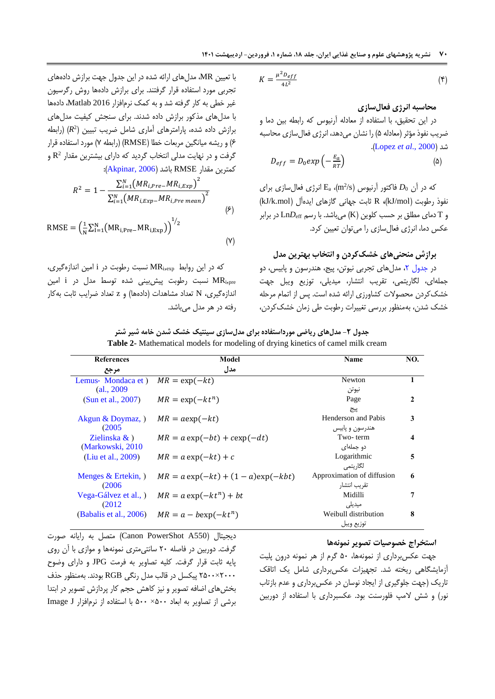**07 نشریه پژوهشهای علوم و صنایع غذایی ایران، جلد ،18 شماره ،1 فروردین- اردیبهشت 1401**

$$
K = \frac{\mu^2 D_{eff}}{4L^2} \tag{5}
$$

**محاسبه انرژی فعالسازی**

در این تحقیق، با استفاده از معادله آرنیوس که رابطه بین دما و ضریب نفوذ مؤثر (معادله ۵) را نشان میدهد، انرژی فعالسازی محاسبه .)Lopez *et al*[., 2000](#page-13-8)( شد

$$
D_{eff} = D_0 exp\left(-\frac{E_a}{RT}\right) \tag{a}
$$

که در آن  $D_0$  فاکتور آرنیوس (m²/s) که در آن  $D_0$  برای نفوذ رطوبت )mol/kJ)**،** R ثابت جهانی گازهای ایدهآل )mol.k/kJ) و T دمای مطلق بر حسب کلوین )K )میباشد. با رسم Ln*D*eff در برابر عکس دما، انرژی فعالسازی را میتوان تعیین کرد.

### <span id="page-5-0"></span>**برازش منحنیهای خشککردن و انتخاب بهترین مدل**

در جدول ۲، مدلهای تجربی نیوتن، پیج، هندرسون و پابیس، دو جملهای، لگاریتمی، تقریب انتشار، میدیلی، توزیع ویبل جهت خشککردن محصوالت کشاورزی ارائه شده است. پس از اتمام مرحله خشک شدن، بهمنظور بررسی تغییرات رطوبت طی زمان خشککردن،

با تعیین MR، مدلهای ارائه شده در این جدول جهت برازش دادههای تجربی مورد استفاده قرار گرفتند. برای برازش دادهها روش رگرسیون غیر خطی به کار گرفته شد و به کمک نرمافزار 2016 Matlab، دادهها با مدلهای مذکور برازش داده شدند. برای سنجش کیفیت مدلهای برازش داده شده، پارامترهای آماری شامل ضریب تبیین (R<sup>2</sup>) (رابطه 0( و ریشه میانگین مربعات خطا )RMSE( )رابطه 5( مورد استفاده قرار گرفت و در نهایت مدلی انتخاب گردید که دارای بیشترین مقدار  $\rm R^2$  و کمترین مقدار RMSE باشد )[2006 ,Akpinar](#page-12-7)):

$$
R^{2} = 1 - \frac{\sum_{i=1}^{N} (MR_{i,Pre} - MR_{i,Exp})^{2}}{\sum_{i=1}^{N} (MR_{i,Exp} - MR_{i,Pre \ mean})^{2}}
$$
  
\n
$$
RMSE = \left(\frac{1}{N} \sum_{i=1}^{N} (MR_{i,Pre} - MR_{i,Exp})\right)^{1/2}
$$
  
\n
$$
(Y)
$$

که در این روابط MRi,exp نسبت رطوبت در i امین اندازهگیری، pre,MR<sup>i</sup> نسبت رطوبت پیشبینی شده توسط مدل در i امین اندازهگیری، N تعداد مشاهدات (دادهها) و z تعداد ضرایب ثابت بهکار رفته در هر مدل میباشد.

| جدول ۲- مدلهای ریاضی مورداستفاده برای مدلسازی سینتیک خشک شدن خامه شیر شتر        |  |  |  |
|----------------------------------------------------------------------------------|--|--|--|
| Table 2- Mathematical models for modeling of drying kinetics of camel milk cream |  |  |  |

| <b>References</b>       | Model                                   | Name                       | NO.          |
|-------------------------|-----------------------------------------|----------------------------|--------------|
| مرجع                    | مدل                                     |                            |              |
| Lemus-Mondaca et)       | $MR = \exp(-kt)$                        | Newton                     | 1            |
| (al., 2009              |                                         | نيوتن                      |              |
| (Sun et al., 2007)      | $MR = \exp(-kt^n)$                      | Page                       | $\mathbf{2}$ |
|                         |                                         | پيج                        |              |
| Akgun & Doymaz, )       | $MR = a \exp(-kt)$                      | Henderson and Pabis        | 3            |
| (2005)                  |                                         | هندرسون و پاییس            |              |
| Zielinska $\&$ )        | $MR = a \exp(-bt) + c \exp(-dt)$        | Two-term                   | 4            |
| (Markowski, 2010)       |                                         | دو جملهای                  |              |
| (Liu et al., 2009)      | $MR = a \exp(-kt) + c$                  | Logarithmic                | 5            |
|                         |                                         | لگاريتمي                   |              |
| Menges $&$ Ertekin, $)$ | $MR = a \exp(-kt) + (1 - a) \exp(-kbt)$ | Approximation of diffusion | 6            |
| (2006)                  |                                         | تقريب انتشار               |              |
| Vega-Gálvez et al., )   | $MR = a \exp(-kt^n) + bt$               | Midilli                    | 7            |
| (2012)                  |                                         | میدیلے ,                   |              |
| (Babalis et al., 2006)  | $MR = a - b \exp(-kt^n)$                | Weibull distribution       | 8            |
|                         |                                         | توزيع ويبل                 |              |

#### **استخراج خصوصیات تصویر نمونهها**

دیجیتال )550A PowerShot Canon )متصل به رایانه صورت گرفت. دوربین در فاصله 56 سانتیمتری نمونهها و موازی با آن روی پایه ثابت قرار گرفت. کلیه تصاویر به فرمت JPG و دارای وضوح 5666×5466 پیکسل در قالب مدل رنگی RGB بودند. بهمنظور حذف بخشهای اضافه تصویر و نیز کاهش حجم کار پردازش تصویر در ابتدا برشی از تصاویر به ابعاد 466× 466 با استفاده از نرمافزار J Image

جهت عکسبرداری از نمونهها، 46 گرم از هر نمونه درون پلیت آزمایشگاهی ریخته شد. تجهیزات عکسبرداری شامل یک اتاقک تاریک )جهت جلوگیری از ایجاد نوسان در عکسبرداری و عدم بازتاب نور( و شش المپ فلورسنت بود. عکسبرداری با استفاده از دوربین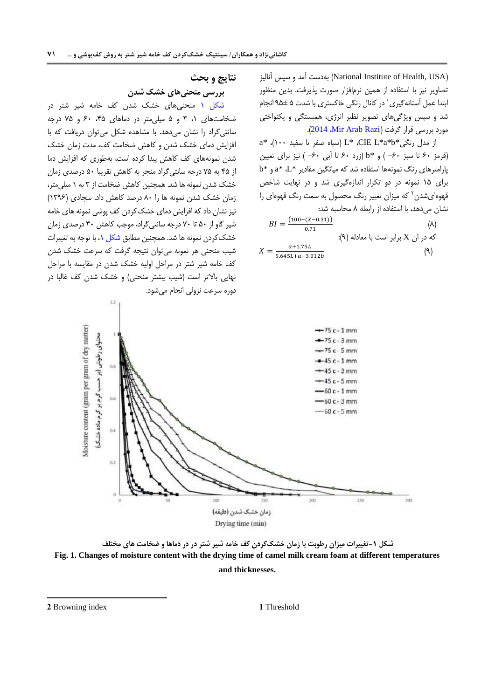)USA ,Health of Institute National )بهدست آمد و سپس آنالیز تصاویر نیز با استفاده از همین نرمافزار صورت پذیرفت. بدین منظور بتدا عمل استانهگیری<sup>٬</sup> در کانال رنگی خاکستری با شدت ۵ ±۹۵ انجام شد و سپس ویژگیهای تصویر نظیر انرژی، همبستگی و یکنواختی مورد بررسی قرار گرفت (Alir Arab Razi).

 $a^*$  از مدل رنگی $b^*$ b\*، CIE L،  $\mathbb{L}^*$ ، CIE،  $\mathbb{L}^*$ ،  $\mathbb{L}^*$ ،  $\mathbb{L}^*$ ،  $\mathbb{L}^*$ ،  $\mathbb{L}^*$ )قرمز 06 تا سبز -06 ( و \*b( زرد 06 تا آبی -06 ( نیز برای تعیین  $b^*$  پارامترهای رنگ نمونهها استفاده شد که میانگین مقادیر  $L^*$ ،  $a^*$  و  $b^*$ برای 14 نمونه در دو تکرار اندازهگیری شد و در نهایت شاخص قهوهایشدن<sup>۲</sup> که میزان تغییر رنگ محصول به سمت رنگ قهوهای را نشان می دهد، با استفاده از رابطه ۸ محاسبه شد:

$$
BI = \frac{(100 - (X - 0.31))}{0.71}
$$
\n
$$
\Rightarrow \text{A} = \frac{1.75L}{5.645L + a - 3.012b}
$$
\n(A)\n(A)\n(A)\n(A)\n(A)

**نتایج و بحث بررسی منحنیهای خشک شدن**

[شکل 1](#page-6-0) منحنیهای خشک شدن کف خامه شیر شتر در ضخامتهای ۰، ۳ و ۵ میلی متر در دماهای ۴۵، ۶۰ و ۷۵ درجه سانتیگراد را نشان میدهد. با مشاهده شکل میتوان دریافت که با افزایش دمای خشک شدن و کاهش ضخامت کف، مدت زمان خشک شدن نمونههای کف کاهش پیدا کرده است، بهطوری که افزایش دما از 54 به 54 درجه سانتیگراد منجر به کاهش تقریبا 46 درصدی زمان خشک شدن نمونه ها شد. همچنین کاهش ضخامت از 3 به 1 میلیمتر، زمان خشک شدن نمونه ها را 06 درصد کاهش داد. سجادی )1390( نیز نشان داد که افزایش دمای خشککردن کف پوشی نمونه های خامه شیر گاو از 46 تا 56 درجه سانتیگراد، موجب کاهش 36 درصدی زمان خشککردن نمونه ها شد. همچنین مطابق [شکل ،1](#page-6-0) با توجه به تغییرات شیب منحنی هر نمونه میتوان نتیجه گرفت که سرعت خشک شدن کف خامه شیر شتر در مراحل اولیه خشک شدن در مقایسه با مراحل

نهایی بالاتر است (شیب بیشتر منحنی) و خشک شدن کف غالبا در



**شکل -1تغییرات میزان رطوبت با زمان خشککردن کف خامه شیر شتر در در دماها و ضخامت های مختلف Fig. 1. Changes of moisture content with the drying time of camel milk cream foam at different temperatures and thicknesses.**

**2** Browning index **1** Threshold

<span id="page-6-0"></span>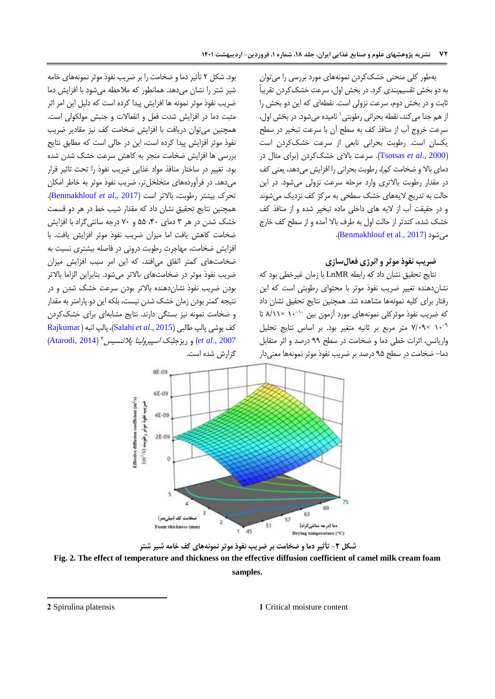بهطور کلی منحنی خشککردن نمونههای مورد بررسی را میتوان به دو بخش تقسیمبندی کرد. در بخش اول، سرعت خشککردن تقریباً ثابت و در بخش دوم، سرعت نزولی است. نقطهای که این دو بخش را ز هم جدا می کند، نقطه بحرانی رطوبتی` نامیده میشود. در بخش اول، سرعت خروج آب از منافذ کف به سطح آن با سرعت تبخیر در سطح یکسان است. رطوبت بحرانی تابعی از سرعت خشککردن است )2000 .,*al et* [Tsotsas](#page-14-3)). سرعت باالی خشککردن )برای مثال در دمای بالا و ضخامت کم)، رطوبت بحرانی را افزایش می دهد، یعنی کف در مقدار رطوبت باالتری وارد مرحله سرعت نزولی میشود. در این حالت به تدریج الیههای خشک سطحی به مرکز کف نزدیک میشوند و در حقیقت آب از الیه های داخلی ماده تبخیر شده و از منافذ کف خشک شده، کندتر از حالت اول به طرف باال آمده و از سطح کف خارج .)[Benmakhlouf et al., 2017](#page-12-10)( میشود

## **ضریب نفوذ موثر و انرژی فعالسازی**

نتایج تحقیق نشان داد که رابطه LnMR با زمان غیرخطی بود که نشاندهنده تغییر ضریب نفوذ موثر با محتوای رطوبتی است که این رفتار برای کلیه نمونهها مشاهده شد. همچنین نتایج تحقیق نشان داد که ضریب نفوذ موثرکلی نمونههای مورد آزمون بین <sup>۱۰-</sup>۱۰ ×۸/۱۱ تا -9 16 ×5/69 متر مربع بر ثانیه متغیر بود. بر اساس نتایج تحلیل واریانس، اثرات خطی دما و ضخامت در سطح 99 درصد و اثر متقابل دما- ضخامت در سطح 94 درصد بر ضریب نفوذ موثر نمونهها معنیدار

بود. شکل 5 تأثیر دما و ضخامت را بر ضریب نفوذ موثر نمونههای خامه شیر شتر را نشان میدهد. همانطور که مالحظه میشود با افزایش دما ضریب نفوذ موثر نمونه ها افزایش پیدا کرده است که دلیل این امر اثر مثبت دما در افزایش شدت فعل و انفعاالت و جنبش مولکولی است. همچنین میتوان دریافت با افزایش ضخامت کف نیز مقادیر ضریب نفوذ موثر افزایش پیدا کرده است، این در حالی است که مطابق نتایج بررسی ها افزایش ضخامت منجر به کاهش سرعت خشک شدن شده بود. تغییر در ساختار منافذ مواد غذایی ضریب نفوذ را تحت تاثیر قرار میدهد. در فرآوردههای متخلخلتر، ضریب نفوذ موثر به خاطر امکان تحرک بیشتر رطوبت، باالتر است )2017 .,*al et* [Benmakhlouf](#page-12-10)). همچنین نتایج تحقیق نشان داد که مقدار شیب خط در هر دو قسمت خشک شدن در هر 3 دمای ،56 44 و 56 درجه سانتیگراد با افزایش ضخامت کاهش یافت اما میزان ضریب نفوذ موثر افزایش یافت. با افزایش ضخامت، مهاجرت رطوبت درونی در فاصله بیشتری نسبت به ضخامتهای کمتر اتفاق میافتد، که این امر سبب افزایش میزان ضریب نفوذ موثر در ضخامتهای باالتر میشود. بنابراین الزاما باالتر بودن ضریب نفوذ نشاندهنده باالتر بودن سرعت خشک شدن و در نتیجه کمتر بودن زمان خشک شدن نیست، بلکه این دو پارامتر به مقدار و ضخامت نمونه نیز بستگی دارند. نتایج مشابهای برای خشککردن کف پوشی پالپ طالبی )2015 .,*al et* [Salahi](#page-13-13))، پالپ انبه) [Rajkumar](#page-13-14) *et al., 2007) و ریزجلبک اسپیرولینا پلاتنسیس ۲ (*[Atarodi, 2014](#page-12-11)) گزارش شده است.



**شکل -2 تأثیر دما و ضخامت بر ضریب نفوذ موثر نمونههای کف خامه شیر شتر**

**Fig. 2. The effect of temperature and thickness on the effective diffusion coefficient of camel milk cream foam** 

#### **samples.**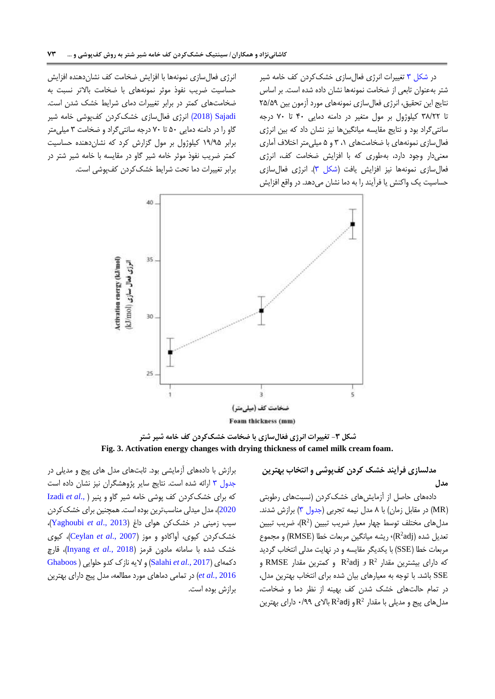در [شکل 3](#page-8-0) تغییرات انرژی فعالسازی خشککردن کف خامه شیر شتر بهعنوان تابعی از ضخامت نمونهها نشان داده شده است. بر اساس نتایج این تحقیق، انرژی فعالسازی نمونههای مورد آزمون بین 54/49 تا 30/55 کیلوژول بر مول متغیر در دامنه دمایی 56 تا 56 درجه سانتیگراد بود و نتایج مقایسه میانگینها نیز نشان داد که بین انرژی فعالسازی نمونههای با ضخامتهای ،1 3 و 4 میلیمتر اختالف آماری معنیدار وجود دارد، بهطوری که با افزایش ضخامت کف، انرژی فعالسازی نمونهها نیز افزایش یافت [\)شکل 3\(](#page-8-0). انرژی فعالسازی حساسیت یک واکنش یا فرآیند را به دما نشان میدهد. در واقع افزایش

انرژی فعال سازی نمونهها با افزایش ضخامت کف نشان دهنده افزایش حساسیت ضریب نفوذ موثر نمونههای با ضخامت باالتر نسبت به ضخامتهای کمتر در برابر تغییرات دمای شرایط خشک شدن است. [Sajadi](#page-13-15)( 2018 )انرژی فعالسازی خشککردن کفپوشی خامه شیر گاو را در دامنه دمایی 46 تا 56 درجه سانتیگراد و ضخامت 3 میلیمتر برابر 19/94 کیلوژول بر مول گزارش کرد که نشاندهنده حساسیت کمتر ضریب نفوذ موثر خامه شیر گاو در مقایسه با خامه شیر شتر در برابر تغییرات دما تحت شرایط خشککردن کفپوشی است.



**شکل -3 تغییرات انرژی فعّالسازی با ضخامت خشککردن کف خامه شیر شتر Fig. 3. Activation energy changes with drying thickness of camel milk cream foam.**

<span id="page-8-0"></span>**مدلسازی فرآیند خشک کردن کفپوشی و انتخاب بهترین مدل**

دادههای حاصل از آزمایشهای خشککردن )نسبتهای رطوبتی (MR) در مقابل زمان) با ۸ مدل نیمه تجربی (جدول ۳) برازش شدند. 2 مدلهای مختلف توسط چهار معیار ضریب تبیین ) R)، ضریب تبیین نعدیل شده (R $^2$ adj)، ریشه میانگین مربعات خطا (RMSE) و مجموع مربعات خطا )SSE )با یکدیگر مقایسه و در نهایت مدلی انتخاب گردید  $\mathsf{RMSE}$  و  $\mathsf{R}^2$ و R $^2$ adj و  $\mathsf{R}^2$  و کمترین مقدار  $\mathsf{RMSE}$ SSE باشد. با توجه به معیارهای بیان شده برای انتخاب بهترین مدل، در تمام حالتهای خشک شدن کف بهینه از نظر دما و ضخامت،  $\mathsf{R}^2$ و jR $^2$ و R $^2$ adj بیج و مدیلی با مقدار  $\mathsf{R}^2$ و jR $\mathsf{R}^2$  بالای ۱۹۹

برازش با دادههای آزمایشی بود. ثابتهای مدل های پیج و مدیلی در [جدول 3](#page-9-0) ارائه شده است. نتایج سایر پژوهشگران نیز نشان داده است که برای خشککردن کف پوشی خامه شیر گاو و پنیر [\)](#page-13-16) .,*al et* [Izadi](#page-13-16) [2020](#page-13-16)(، مدل میدلی مناسبترین بوده است. همچنین برای خشککردن سیب زمینی در خشککن هوای داغ )2013 .,*al et* [Yaghoubi](#page-14-4))، خشککردن کیوی، آواکادو و موز )2007 .,*al et* [Ceylan](#page-12-12))، کیوی خشک شده با سامانه مادون قرمز )2018 *.*,*al et* [Inyang](#page-13-5))، قارچ دکمهای )2017 *.,al et* [Salahi](#page-13-17) )و الیه نازک کدو حلوایی [\)](#page-13-18)[Ghaboos](#page-13-18) [2016](#page-13-18) *.*,*al et* )در تمامی دماهای مورد مطالعه، مدل پیج دارای بهترین برازش بوده است.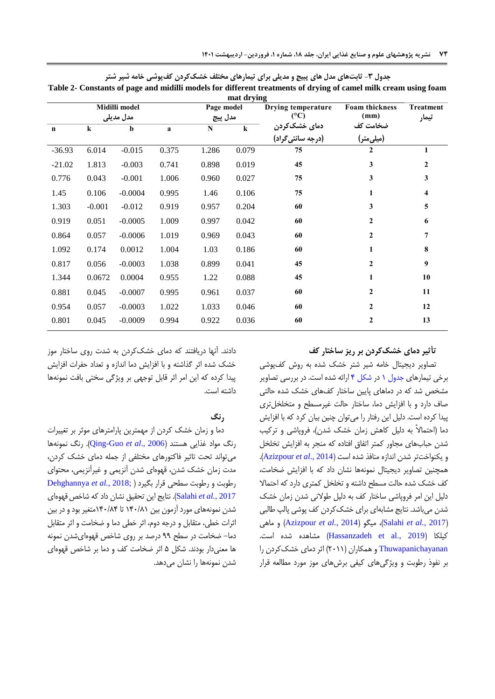| mat drying                 |          |                       |       |                                       |                        |                           |                  |              |
|----------------------------|----------|-----------------------|-------|---------------------------------------|------------------------|---------------------------|------------------|--------------|
| Midilli model<br>مدل مدیلی |          | Page model<br>مدل پیج |       | Drying temperature<br>$({}^{\circ}C)$ | Foam thickness<br>(mm) | <b>Treatment</b><br>تيمار |                  |              |
| $\mathbf n$                | $\bf k$  | b                     | a     | N                                     | $\bf k$                | دمای خشککردن              | ضخامت کف         |              |
|                            |          |                       |       |                                       |                        | (درجه سانتي گراد)         | (میلی متر)       |              |
| $-36.93$                   | 6.014    | $-0.015$              | 0.375 | 1.286                                 | 0.079                  | 75                        | 2                |              |
| $-21.02$                   | 1.813    | $-0.003$              | 0.741 | 0.898                                 | 0.019                  | 45                        | 3                | $\mathbf{2}$ |
| 0.776                      | 0.043    | $-0.001$              | 1.006 | 0.960                                 | 0.027                  | 75                        | 3                | 3            |
| 1.45                       | 0.106    | $-0.0004$             | 0.995 | 1.46                                  | 0.106                  | 75                        | 1                | 4            |
| 1.303                      | $-0.001$ | $-0.012$              | 0.919 | 0.957                                 | 0.204                  | 60                        | 3                | 5            |
| 0.919                      | 0.051    | $-0.0005$             | 1.009 | 0.997                                 | 0.042                  | 60                        | $\overline{2}$   | 6            |
| 0.864                      | 0.057    | $-0.0006$             | 1.019 | 0.969                                 | 0.043                  | 60                        | $\mathbf{2}$     | 7            |
| 1.092                      | 0.174    | 0.0012                | 1.004 | 1.03                                  | 0.186                  | 60                        | 1                | 8            |
| 0.817                      | 0.056    | $-0.0003$             | 1.038 | 0.899                                 | 0.041                  | 45                        | $\boldsymbol{2}$ | 9            |
| 1.344                      | 0.0672   | 0.0004                | 0.955 | 1.22                                  | 0.088                  | 45                        | 1                | 10           |
| 0.881                      | 0.045    | $-0.0007$             | 0.995 | 0.961                                 | 0.037                  | 60                        | $\mathbf{2}$     | 11           |
| 0.954                      | 0.057    | $-0.0003$             | 1.022 | 1.033                                 | 0.046                  | 60                        | $\mathbf{2}$     | 12           |
| 0.801                      | 0.045    | $-0.0009$             | 0.994 | 0.922                                 | 0.036                  | 60                        | $\overline{2}$   | 13           |
|                            |          |                       |       |                                       |                        |                           |                  |              |

<span id="page-9-0"></span>**جدول -3 ثابتهای مدل های پبیج و مدیلی برای تیمارهای مختلف خشککردن کفپوشی خامه شیر شتر**

**Table 2- Constants of page and midilli models for different treatments of drying of camel milk cream using foam mat drying**

# **تأثیر دمای خشککردن بر ریز ساختار کف**

تصاویر دیجیتال خامه شیر شتر خشک شده به روش کفپوشی برخی تیمارهای [جدول 1](#page-4-0) در [شکل 5](#page-10-0) ارائه شده است. در بررسی تصاویر مشخص شد که در دماهای پایین ساختار کفهای خشک شده حالتی صاف دارد و با افزایش دما، ساختار حالت غیرمسطح و متخلخلتری پیدا کرده است. دلیل این رفتار را میتوان چنین بیان کرد که با افزایش دما )احتماالً به دلیل کاهش زمان خشک شدن(، فروپاشی و ترکیب شدن حبابهای مجاور کمتر اتفاق افتاده که منجر به افزایش تخلخل و یکنواختتر شدن اندازه منافذ شده است )2014 .,*al et* [Azizpour](#page-12-13)). همچنین تصاویر دیجیتال نمونهها نشان داد که با افزایش ضخامت، کف خشک شده حالت مسطح داشته و تخلخل کمتری دارد که احتماال دلیل این امر فروپاشی ساختار کف به دلیل طوالنی شدن زمان خشک شدن میباشد. نتایج مشابهای برای خشککردن کف پوشی پالپ طالبی ماهی و( [Azizpour](#page-12-13) *et al.*, 2014( میگو ،([Salahi](#page-13-17) *et al.*, 2017( کیلکا )[2019 .,al et](#page-13-19) Hassanzadeh )مشاهده شده است. [Thuwapanichayanan](#page-13-20) و همکاران )5611( اثر دمای خشککردن را بر نفوذ رطوبت و ویژگیهای کیفی برشهای موز مورد مطالعه قرار

دادند. آنها دریافتند که دمای خشککردن به شدت روی ساختار موز خشک شده اثر گذاشته و با افزایش دما اندازه و تعداد حفرات افزایش پیدا کرده که این امر اثر قابل توجهی بر ویژگی سختی بافت نمونهها داشته است.

#### **رنگ**

دما و زمان خشک کردن از مهمترین پارامترهای موثر بر تغییرات رنگ مواد غذایی هستند )2006 .,*al et* [Guo-Qing](#page-13-21)). رنگ نمونهها میتواند تحت تاثیر فاکتورهای مختلفی از جمله دمای خشک کردن، مدت زمان خشک شدن، قهوهای شدن آنزیمی و غیرآنزیمی، محتوای رطوبت و رطوبت سطحی قرار بگیرد [\)](#page-12-14) ;2018 *.,al et* [Dehghannya](#page-12-14) 2017 *.,al et* [Salahi](#page-13-17)). نتایج این تحقیق نشان داد که شاخصقهوهای شدن نمونههای مورد آزمون بین 156/01 تا 156/05متغیر بود و در بین اثرات خطی، متقابل و درجه دوم، اثر خطی دما و ضخامت و اثر متقابل دما- ضخامت در سطح 99 درصد بر روی شاخص قهوهایشدن نمونه ها معنیدار بودند. شکل 4 اثر ضخامت کف و دما بر شاخص قهوهای شدن نمونهها را نشان میدهد.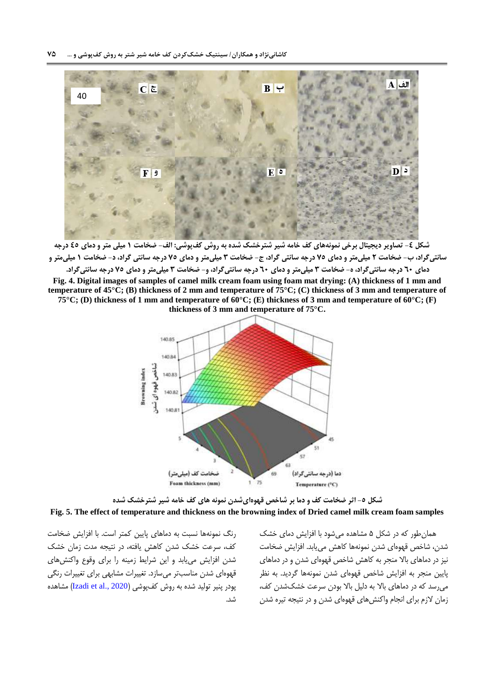

**شکل -4 تصاویر دیجیتال برخی نمونههای کف خامه شیر شترخشک شده به روش کفپوشی: الف- ضخامت 1 میلی متر و دمای 45 درجه سانتیگراد، ب- ضخامت 2 میلیمتر و دمای 55 درجه سانتی گراد، ج- ضخامت 3 میلیمتر و دمای 55 درجه سانتی گراد، د- ضخامت 1 میلیمتر و** 

**دمای 06 درجه سانتیگراد، ه- ضخامت 3 میلیمتر و دمای 06 درجه سانتیگراد، و- ضخامت 3 میلیمتر و دمای 55 درجه سانتیگراد. Fig. 4. Digital images of samples of camel milk cream foam using foam mat drying: (A) thickness of 1 mm and temperature of 45°C; (B) thickness of 2 mm and temperature of 75°C; (C) thickness of 3 mm and temperature of 75°C; (D) thickness of 1 mm and temperature of 60°C; (E) thickness of 3 mm and temperature of 60°C; (F) thickness of 3 mm and temperature of 75°C.**

<span id="page-10-0"></span>

**شکل -5 اثر ضخامت کف و دما بر شاخص قهوهایشدن نمونه های کف خامه شیر شترخشک شده Fig. 5. The effect of temperature and thickness on the browning index of Dried camel milk cream foam samples**

همانطور که در شکل 4 مشاهده میشود با افزایش دمای خشک شدن، شاخص قهوهای شدن نمونهها کاهش مییابد. افزایش ضخامت نیز در دماهای باال منجر به کاهش شاخص قهوهای شدن و در دماهای پایین منجر به افزایش شاخص قهوهای شدن نمونهها گردید. به نظر میرسد که در دماهای باال به دلیل باال بودن سرعت خشکشدن کف، زمان الزم برای انجام واکنشهای قهوهای شدن و در نتیجه تیره شدن

رنگ نمونهها نسبت به دماهای پایین کمتر است. با افزایش ضخامت کف، سرعت خشک شدن کاهش یافته، در نتیجه مدت زمان خشک شدن افزایش مییابد و این شرایط زمینه را برای وقوع واکنشهای قهوهای شدن مناسبتر میسازد. تغییرات مشابهی برای تغییرات رنگی پودر پنیر تولید شده به روش کفپوشی (Izadi et al., 2020) مشاهده شد.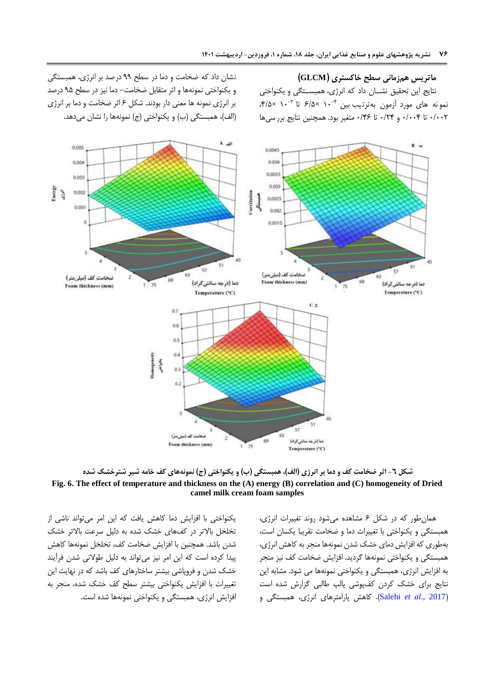**ماتریس همزمانی سطح خاکستری )GLCM)** نتایج این تحقیق نشــان داد که انرژی، همبســتگی و یکنواختی نمو نه های مورد آزمون بهترتیب بین <sup>۴-. ۱</sup>۰ ×۶/۵ تا ۰-۱ ×۴/۵×. 6/665 تا 6/665 و 6/55 تا 6/50 متغیر بود. همچنین نتایج برر سی ها

نشان داد که ضخامت و دما در سطح 99 درصد بر انرژی ، همبستگی و یکنواختی نمونهها و اثر متقابل ضخامت- دما نیز در سطح 94 درصد بر انرژی نمونه ها معنی دار بودند. شکل 0 اثر ضخامت و دما بر انرژی (الف)، همبستگی (ب) و یکنواختی (ج) نمونهها را نشان میدهد.



**شکل -0 اثر ضخامت کف و دما بر انرژی )الف(، همبستگی )ب( و یکنواختی )ج( نمونههای کف خامه شیر شترخشک شده Fig. 6. The effect of temperature and thickness on the (A) energy (B) correlation and (C) homogeneity of Dried camel milk cream foam samples**

یکنواختی با افزایش دما کاهش یافت که این امر میتواند ناشی از تخلخل باالتر در کفهای خشک شده به دلیل سرعت باالتر خشک شدن باشد. همچنین با افزایش ضخامت کف، تخلخل نمونهها کاهش پیدا کرده است که این امر نیز میتواند به دلیل طوالنی شدن فرآیند خشک شدن و فروپاشی بیشتر ساختارهای کف باشد که در نهایت این تغییرات با افزایش یکنواختی بیشتر سطح کف خشک شده، منجر به افزایش انرژی، همبستگی و یکنواختی نمونهها شده است. همانطور که در شکل 0 مشاهده میشود روند تغییرات انرژی، همبستگی و یکنواختی با تغییرات دما و ضخامت تقریبا یکسان است، بهطوری که افزایش دمای خشک شدن نمونهها منجر به کاهش انرژی، همبستگی و یکنواختی نمونهها گردید. افزایش ضخامت کف نیز منجر به افزایش انرژی، همبستگی و یکنواختی نمونهها می شود. مشابه این نتایج برای خشک کردن کفپوشی پالپ طالبی گزارش شده است )[2017 .,](#page-13-17)*al et* Salehi). کاهش پارامترهای انرژی، همبستگی و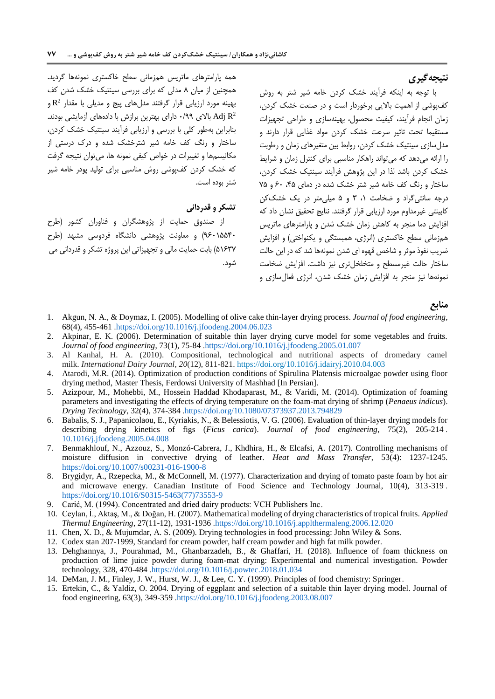# **نتیجهگیری**

با توجه به اینکه فرآیند خشک کردن خامه شیر شتر به روش کفپوشی از اهمیت باالیی برخوردار است و در صنعت خشک کردن، زمان انجام فرآیند، کیفیت محصول، بهینهسازی و طراحی تجهیزات مستقیما تحت تاثیر سرعت خشک کردن مواد غذایی قرار دارند و مدلسازی سینتیک خشک کردن، روابط بین متغیرهای زمان و رطوبت را ارائه میدهد که میتواند راهکار مناسبی برای کنترل زمان و شرایط خشک کردن باشد لذا در این پژوهش فرآیند سینتیک خشک کردن، ساختار و رنگ کف خامه شیر شتر خشک شده در دمای ۴۵، ۶۰ و ۲۵ درجه سانتیگراد و ضخامت ،1 3 و 4 میلیمتر در یک خشککن کابینتی غیرمداوم مورد ارزیابی قرار گرفتند. نتایج تحقیق نشان داد که افزایش دما منجر به کاهش زمان خشک شدن و پارامترهای ماتریس همزمانی سطح خاکستری (انرژی، همبستگی و یکنواختی) و افزایش ضریب نفوذ موثر و شاخص قهوه ای شدن نمونهها شد که در این حالت ساختار حالت غیرمسطح و متخلخلتری نیز داشت. افزایش ضخامت نمونهها نیز منجر به افزایش زمان خشک شدن، انرژی فعالسازی و

#### **منابع**

- <span id="page-12-8"></span>1. Akgun, N. A., & Doymaz, I. (2005). Modelling of olive cake thin-layer drying process. *Journal of food engineering*, 68(4), 455-46[1 .https://doi.org/10.1016/j.jfoodeng.2004.06.023](https://doi.org/10.1016/j.jfoodeng.2004.06.023)
- <span id="page-12-7"></span>2. Akpinar, E. K. (2006). Determination of suitable thin layer drying curve model for some vegetables and fruits. *Journal of food engineering*, 73(1), 75-8[4 .https://doi.org/10.1016/j.jfoodeng.2005.01.007](https://doi.org/10.1016/j.jfoodeng.2005.01.007)
- <span id="page-12-0"></span>3. Al Kanhal, H. A. (2010). Compositional, technological and nutritional aspects of dromedary camel milk. *International Dairy Journal*, *20*(12), 811-821. <https://doi.org/10.1016/j.idairyj.2010.04.003>
- <span id="page-12-11"></span>4. Atarodi, M.R. (2014). Optimization of production conditions of Spirulina Platensis microalgae powder using floor drying method, Master Thesis, Ferdowsi University of Mashhad [In Persian].
- <span id="page-12-13"></span>5. Azizpour, M., Mohebbi, M., Hossein Haddad Khodaparast, M., & Varidi, M. (2014). Optimization of foaming parameters and investigating the effects of drying temperature on the foam-mat drying of shrimp (*Penaeus indicus*). *Drying Technology*, 32(4), 374-38[4 .https://doi.org/10.1080/07373937.2013.794829](https://doi.org/10.1080/07373937.2013.794829)
- <span id="page-12-9"></span>6. Babalis, S. J., Papanicolaou, E., Kyriakis, N., & Belessiotis, V. G. (2006). Evaluation of thin-layer drying models for describing drying kinetics of figs (*Ficus carica*). *Journal of food engineering*, 75(2), 205-21[4 .](https://doi.org/10.1016/j.jfoodeng.2005.04.008) [10.1016/j.jfoodeng.2005.04.008](https://doi.org/10.1016/j.jfoodeng.2005.04.008)
- <span id="page-12-10"></span>7. Benmakhlouf, N., Azzouz, S., Monzó-Cabrera, J., Khdhira, H., & Elcafsi, A. (2017). Controlling mechanisms of moisture diffusion in convective drying of leather. *Heat and Mass Transfer*, 53(4): 1237-1245. <https://doi.org/10.1007/s00231-016-1900-8>
- <span id="page-12-3"></span>8. Brygidyr, A., Rzepecka, M., & McConnell, M. (1977). Characterization and drying of tomato paste foam by hot air and microwave energy. Canadian Institute of Food Science and Technology Journal, 10(4), 313-31[9 .](https://doi.org/10.1016/S0315-5463(77)73553-9) [https://doi.org/10.1016/S0315-5463\(77\)73553-9](https://doi.org/10.1016/S0315-5463(77)73553-9)
- <span id="page-12-2"></span>9. Carić, M. (1994). Concentrated and dried dairy products: VCH Publishers Inc.
- <span id="page-12-12"></span>10. Ceylan, İ., Aktaş, M., & Doğan, H. (2007). Mathematical modeling of drying characteristics of tropical fruits*. Applied Thermal Engineering*, 27(11-12), 1931-193[6 .https://doi.org/10.1016/j.applthermaleng.2006.12.020](https://doi.org/10.1016/j.applthermaleng.2006.12.020)
- <span id="page-12-5"></span>11. Chen, X. D., & Mujumdar, A. S. (2009). Drying technologies in food processing: John Wiley & Sons.
- <span id="page-12-1"></span>12. Codex stan 207-1999, Standard for cream powder, half cream powder and high fat milk powder.
- <span id="page-12-14"></span>13. Dehghannya, J., Pourahmad, M., Ghanbarzadeh, B., & Ghaffari, H. (2018). Influence of foam thickness on production of lime juice powder during foam-mat drying: Experimental and numerical investigation. Powder technology, 328, 470-48[4 .https://doi.org/10.1016/j.powtec.2018.01.034](https://doi.org/10.1016/j.powtec.2018.01.034)
- <span id="page-12-4"></span>14. DeMan, J. M., Finley, J. W., Hurst, W. J., & Lee, C. Y. (1999). Principles of food chemistry: Springer.
- <span id="page-12-6"></span>15. Ertekin, C., & Yaldiz, O. 2004. Drying of eggplant and selection of a suitable thin layer drying model. Journal of food engineering, 63(3), 349-35[9 .https://doi.org/10.1016/j.jfoodeng.2003.08.007](https://doi.org/10.1016/j.jfoodeng.2003.08.007)

همه پارامترهای ماتریس همزمانی سطح خاکستری نمونهها گردید. همچنین از میان 0 مدلی که برای بررسی سینتیک خشک شدن کف بهینه مورد ارزیابی قرار گرفتند مدلهای پیج و مدیلی با مقدار  $\rm R^2$  و Adj R<sup>2</sup> باالی 6/99 دارای بهترین برازش با دادههای آزمایشی بودند. بنابراین بهطور کلی با بررسی و ارزیابی فرآیند سینتیک خشک کردن، ساختار و رنگ کف خامه شیر شترخشک شده و درک درستی از مکانیسمها و تغییرات در خواص کیفی نمونه ها، میتوان نتیجه گرفت که خشک کردن کفپوشی روش مناسبی برای تولید پودر خامه شیر شتر بوده است.

## **تشکر و قدردانی**

از صندوق حمایت از پژوهشگران و فناوران کشور )طرح 90614456( و معاونت پژوهشی دانشگاه فردوسی مشهد )طرح 41035( بابت حمایت مالی و تجهیزاتی این پروژه تشکر و قدردانی می شود.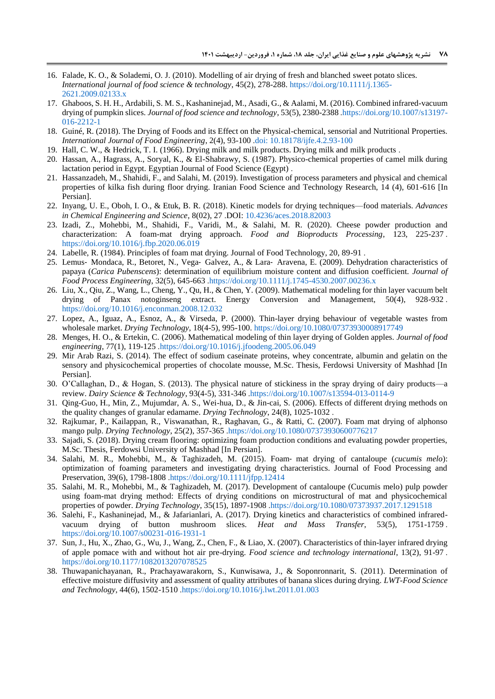- <span id="page-13-7"></span>16. Falade, K. O., & Solademi, O. J. (2010). Modelling of air drying of fresh and blanched sweet potato slices. *International journal of food science & technology*, 45(2), 278-288[. https://doi.org/10.1111/j.1365-](https://doi.org/10.1111/j.1365-2621.2009.02133.x) [2621.2009.02133.x](https://doi.org/10.1111/j.1365-2621.2009.02133.x)
- <span id="page-13-18"></span>17. Ghaboos, S. H. H., Ardabili, S. M. S., Kashaninejad, M., Asadi, G., & Aalami, M. (2016). Combined infrared-vacuum drying of pumpkin slices. *Journal of food science and technology*, 53(5), 2380-238[8 .https://doi.org/10.1007/s13197-](https://doi.org/10.1007/s13197-016-2212-1) [016-2212-1](https://doi.org/10.1007/s13197-016-2212-1)
- <span id="page-13-2"></span>18. Guiné, R. (2018). The Drying of Foods and its Effect on the Physical-chemical, sensorial and Nutritional Properties. *International Journal of Food Engineering*, 2(4), 93-10[0 .doi: 10.18178/ijfe.4.2.93-100](doi:%2010.18178/ijfe.4.2.93-100)
- <span id="page-13-1"></span>19. Hall, C. W., & Hedrick, T. I. (1966). Drying milk and milk products. Drying milk and milk products .
- <span id="page-13-0"></span>20. Hassan, A., Hagrass, A., Soryal, K., & El-Shabrawy, S. (1987). Physico-chemical properties of camel milk during lactation period in Egypt. Egyptian Journal of Food Science (Egypt) .
- <span id="page-13-19"></span>21. Hassanzadeh, M., Shahidi, F., and Salahi, M. (2019). Investigation of process parameters and physical and chemical properties of kilka fish during floor drying. Iranian Food Science and Technology Research, 14 (4), 601-616 [In Persian].
- <span id="page-13-5"></span>22. Inyang, U. E., Oboh, I. O., & Etuk, B. R. (2018). Kinetic models for drying techniques—food materials. *Advances in Chemical Engineering and Science*, 8(02), 27 .DOI: [10.4236/aces.2018.82003](http://www.scirp.org/journal/PaperInformation.aspx?PaperID=82910&#abstract)
- <span id="page-13-16"></span>23. Izadi, Z., Mohebbi, M., Shahidi, F., Varidi, M., & Salahi, M. R. (2020). Cheese powder production and characterization: A foam-mat drying approach. *Food and Bioproducts Processing*, 123, 225-23[7 .](https://doi.org/10.1016/j.fbp.2020.06.019) <https://doi.org/10.1016/j.fbp.2020.06.019>
- <span id="page-13-4"></span>24. Labelle, R. (1984). Principles of foam mat drying. Journal of Food Technology, 20, 89-91 .
- <span id="page-13-9"></span>25. Lemus- Mondaca, R., Betoret, N., Vega- Galvez, A., & Lara- Aravena, E. (2009). Dehydration characteristics of papaya (*Carica Pubenscens*): determination of equilibrium moisture content and diffusion coefficient. *Journal of Food Process Engineering*, 32(5), 645-66[3 .https://doi.org/10.1111/j.1745-4530.2007.00236.x](https://doi.org/10.1111/j.1745-4530.2007.00236.x)
- <span id="page-13-6"></span>26. Liu, X., Qiu, Z., Wang, L., Cheng, Y., Qu, H., & Chen, Y. (2009). Mathematical modeling for thin layer vacuum belt drying of Panax notoginseng extract. Energy Conversion and Management, 50(4), 928-93[2 .](https://doi.org/10.1016/j.enconman.2008.12.032) <https://doi.org/10.1016/j.enconman.2008.12.032>
- <span id="page-13-8"></span>27. Lopez, A., Iguaz, A., Esnoz, A., & Virseda, P. (2000). Thin-layer drying behaviour of vegetable wastes from wholesale market. *Drying Technology*, 18(4-5), 995-100.<https://doi.org/10.1080/07373930008917749>
- <span id="page-13-11"></span>28. Menges, H. O., & Ertekin, C. (2006). Mathematical modeling of thin layer drying of Golden apples. *Journal of food engineering*, 77(1), 119-12[5 .https://doi.org/10.1016/j.jfoodeng.2005.06.049](https://doi.org/10.1016/j.jfoodeng.2005.06.049)
- <span id="page-13-12"></span>29. Mir Arab Razi, S. (2014). The effect of sodium caseinate proteins, whey concentrate, albumin and gelatin on the sensory and physicochemical properties of chocolate mousse, M.Sc. Thesis, Ferdowsi University of Mashhad [In Persian].
- <span id="page-13-3"></span>30. O'Callaghan, D., & Hogan, S. (2013). The physical nature of stickiness in the spray drying of dairy products—a review. *Dairy Science & Technology*, 93(4-5), 331-34[6 .https://doi.org/10.1007/s13594-013-0114-9](https://doi.org/10.1007/s13594-013-0114-9)
- <span id="page-13-21"></span>31. Qing-Guo, H., Min, Z., Mujumdar, A. S., Wei-hua, D., & Jin-cai, S. (2006). Effects of different drying methods on the quality changes of granular edamame. *Drying Technology*, 24(8), 1025-1032 .
- <span id="page-13-14"></span>32. Rajkumar, P., Kailappan, R., Viswanathan, R., Raghavan, G., & Ratti, C. (2007). Foam mat drying of alphonso mango pulp. *Drying Technology*, 25(2), 357-36[5 .https://doi.org/10.1080/07373930600776217](https://doi.org/10.1080/07373930600776217)
- <span id="page-13-15"></span>33. Sajadi, S. (2018). Drying cream flooring: optimizing foam production conditions and evaluating powder properties, M.Sc. Thesis, Ferdowsi University of Mashhad [In Persian].
- <span id="page-13-13"></span>34. Salahi, M. R., Mohebbi, M., & Taghizadeh, M. (2015). Foam‐ mat drying of cantaloupe (*cucumis melo*): optimization of foaming parameters and investigating drying characteristics. Journal of Food Processing and Preservation, 39(6), 1798-180[8 .https://doi.org/10.1111/jfpp.12414](https://doi.org/10.1111/jfpp.12414)
- <span id="page-13-17"></span>35. Salahi, M. R., Mohebbi, M., & Taghizadeh, M. (2017). Development of cantaloupe (Cucumis melo) pulp powder using foam-mat drying method: Effects of drying conditions on microstructural of mat and physicochemical properties of powder. *Drying Technology*, 35(15), 1897-190[8 .https://doi.org/10.1080/07373937.2017.1291518](https://doi.org/10.1080/07373937.2017.1291518)
- 36. Salehi, F., Kashaninejad, M., & Jafarianlari, A. (2017). Drying kinetics and characteristics of combined infraredvacuum drying of button mushroom slices. *Heat and Mass Transfer*, 53(5), 1751-175[9 .](https://doi.org/10.1007/s00231-016-1931-1) <https://doi.org/10.1007/s00231-016-1931-1>
- <span id="page-13-10"></span>37. Sun, J., Hu, X., Zhao, G., Wu, J., Wang, Z., Chen, F., & Liao, X. (2007). Characteristics of thin-layer infrared drying of apple pomace with and without hot air pre-drying. *Food science and technology international*, 13(2), 91-9[7 .](https://doi.org/10.1177%2F1082013207078525) [https://doi.org/10.1177/1082013207078525](https://doi.org/10.1177%2F1082013207078525)
- <span id="page-13-20"></span>38. Thuwapanichayanan, R., Prachayawarakorn, S., Kunwisawa, J., & Soponronnarit, S. (2011). Determination of effective moisture diffusivity and assessment of quality attributes of banana slices during drying. *LWT-Food Science and Technology*, 44(6), 1502-151[0 .https://doi.org/10.1016/j.lwt.2011.01.003](https://doi.org/10.1016/j.lwt.2011.01.003)